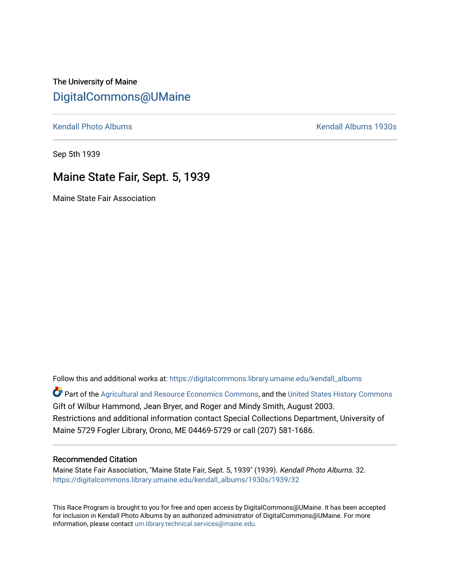The University of Maine [DigitalCommons@UMaine](https://digitalcommons.library.umaine.edu/)

[Kendall Photo Albums](https://digitalcommons.library.umaine.edu/kendall_albums) **Kendall Albums 1930s** 

Sep 5th 1939

### Maine State Fair, Sept. 5, 1939

Maine State Fair Association

Follow this and additional works at: [https://digitalcommons.library.umaine.edu/kendall\\_albums](https://digitalcommons.library.umaine.edu/kendall_albums?utm_source=digitalcommons.library.umaine.edu%2Fkendall_albums%2F1930s%2F1939%2F32&utm_medium=PDF&utm_campaign=PDFCoverPages)  Part of the [Agricultural and Resource Economics Commons,](http://network.bepress.com/hgg/discipline/317?utm_source=digitalcommons.library.umaine.edu%2Fkendall_albums%2F1930s%2F1939%2F32&utm_medium=PDF&utm_campaign=PDFCoverPages) and the [United States History Commons](http://network.bepress.com/hgg/discipline/495?utm_source=digitalcommons.library.umaine.edu%2Fkendall_albums%2F1930s%2F1939%2F32&utm_medium=PDF&utm_campaign=PDFCoverPages) Gift of Wilbur Hammond, Jean Bryer, and Roger and Mindy Smith, August 2003. Restrictions and additional information contact Special Collections Department, University of Maine 5729 Fogler Library, Orono, ME 04469-5729 or call (207) 581-1686.

#### Recommended Citation

Maine State Fair Association, "Maine State Fair, Sept. 5, 1939" (1939). Kendall Photo Albums. 32. [https://digitalcommons.library.umaine.edu/kendall\\_albums/1930s/1939/32](https://digitalcommons.library.umaine.edu/kendall_albums/1930s/1939/32?utm_source=digitalcommons.library.umaine.edu%2Fkendall_albums%2F1930s%2F1939%2F32&utm_medium=PDF&utm_campaign=PDFCoverPages)

This Race Program is brought to you for free and open access by DigitalCommons@UMaine. It has been accepted for inclusion in Kendall Photo Albums by an authorized administrator of DigitalCommons@UMaine. For more information, please contact [um.library.technical.services@maine.edu](mailto:um.library.technical.services@maine.edu).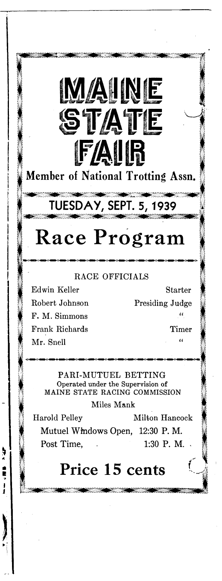Member of National Trotting Assn.

**MAINE** 

**STATE** 

**FAIR** 

## TUESDAY, SEPT. 5, 1939

# **Race Program**

#### **R A C E O F F IC IA L S**

**Edwin Keller Starter R obert Johnson Presiding Judge F. M. Simmons** " **Frank Richards** Timer Mr. Snell

**SERVE** 

ļ  $\mathbf i$ 

 $\alpha$ 

**PARI-MUTUEL BETTING** Operated under the Supervision of MAINE STATE RACING COMMISSION

**M iles M a n k**

**Harold Pelley Milton Hancock** 

**Mutuel Windows Open, 12:30 P. M.** Post Time, 1:30 P. M.

### Price 15 cents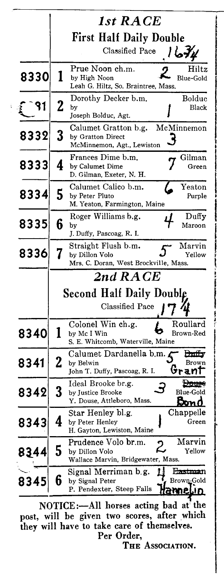|      |   | 1st RACE                                                                |  |
|------|---|-------------------------------------------------------------------------|--|
|      |   |                                                                         |  |
|      |   | <b>First Half Daily Double</b>                                          |  |
|      |   | Classified Pace / 674                                                   |  |
|      |   | Prue Noon ch.m.<br>Hiltz                                                |  |
| 8330 | 1 | <b>Blue-Gold</b><br>by High Noon<br>Leah G. Hiltz, So. Braintree, Mass. |  |
|      |   | Boldue<br>Dorothy Decker b.m.                                           |  |
|      | 2 | by<br>Black                                                             |  |
|      |   | Joseph Bolduc, Agt.                                                     |  |
| 8332 | 3 | McMinnemon<br>Calumet Gratton b.g.<br>by Gratton Direct                 |  |
|      |   | McMinnemon, Agt., Lewiston                                              |  |
|      |   | Frances Dime b.m.<br>Gilman                                             |  |
| 8333 | 4 | by Calumet Dime<br>Green<br>D. Gilman, Exeter, N. H.                    |  |
|      |   | Calumet Calico b.m.<br>Yeaton                                           |  |
| 8334 | 5 | by Peter Pluto<br>Purple                                                |  |
|      |   | M. Yeaton, Farmington, Maine                                            |  |
| 8335 | 6 | Roger Williams b.g.<br>Duffy<br>Maroon<br>by                            |  |
|      |   | J. Duffy, Pascoag, R. I.                                                |  |
| 8336 |   | Straight Flush b.m.<br>Marvin                                           |  |
|      |   | by Dillon Volo<br>Yellow<br>Mrs. C. Doran, West Brockville, Mass.       |  |
|      |   | $2nd \, RACE$                                                           |  |
|      |   | <b>Second Half Daily Doubl</b>                                          |  |
|      |   |                                                                         |  |
|      |   | Classified Pace                                                         |  |
|      |   | Roullard<br>Colonel Win ch.g.                                           |  |
| 8340 |   | Brown-Red<br>by Mc I Win<br>S. E. Whitcomb, Waterville, Maine           |  |
|      |   | Calumet Dardanella b.m. ≰                                               |  |
| 8341 | 2 | by Belwin                                                               |  |
|      |   | Grani<br>John T. Duffy, Pascoag, R. I.<br>Ideal Brooke br.g.            |  |
| 8342 | 3 | <b>EXPLANS</b><br>Blue-Gold<br>by Justice Brooke                        |  |
|      |   | Y. Douse, Attleboro, Mass.                                              |  |
|      | 4 | Chappelle<br>Star Henley bl.g.<br>Green<br>by Peter Henley              |  |
| 8343 |   | H. Gayton, Lewiston, Maine                                              |  |
|      |   | Marvin<br>Prudence Volo br.m.<br>2                                      |  |
| 834  | 5 | Yellow<br>by Dillon Volo<br>Wallace Marvin, Bridgewater, Mass.          |  |
|      |   | Signal Merriman b.g.<br>H <del>astma</del> n                            |  |
| 8345 | 6 | Brown-Gold<br>by Signal Peter                                           |  |
|      |   | P. Pendexter, Steep Falls                                               |  |
|      |   |                                                                         |  |

NOTICE:---All horses acting bad at the post, will be given two scores, after which they will have to take care of themselves. Per Order,

The Association.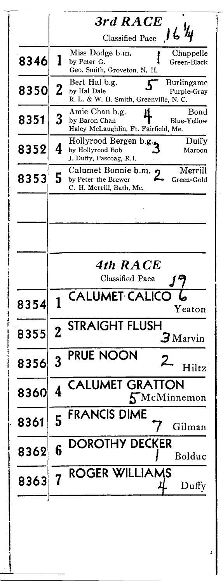|      |                         | $3rd\ RACE$                                                                                         |
|------|-------------------------|-----------------------------------------------------------------------------------------------------|
|      |                         | Classified Pace $16$ $\frac{1}{4}$                                                                  |
| 8346 | 1                       | Miss Dodge b.m.<br>Chappelle<br>by Peter G.<br>Green-Black<br>Geo. Smith, Groveton, N. H.           |
| 8350 | $\mathbf 2$             | Bert Hal b.g.<br>Burlingame<br>by Hal Dale<br>Purple-Gray<br>R. L. & W. H. Smith, Greenville, N. C. |
| 8351 | 3                       | Amie Chan b.g.<br>Bond<br>Blue-Yellow<br>by Baron Chan<br>Haley McLaughlin, Ft. Fairfield, Me.      |
| 8352 | 4                       | Hollyrood Bergen b.g.<br>Duffy<br>by Hollyrood Bob<br>Maroon<br>J. Duffy, Pascoag, R.I.             |
| 8353 | 5                       | Merrill<br>Calumet Bonnie b.m.<br>by Peter the Brewer<br>Green-Gold<br>C. H. Merrill, Bath, Me.     |
|      |                         |                                                                                                     |
|      |                         |                                                                                                     |
|      |                         |                                                                                                     |
|      |                         | 4th RACE<br><b>Classified Pace</b>                                                                  |
| 8354 | 1                       | <b>CALUMET CALICO</b><br>Yeaton                                                                     |
| 8355 | $\overline{2}$          | <b>STRAIGHT FLUSH</b><br>$\boldsymbol{\beta}$ Marvin                                                |
| 8356 | 3                       | PRUE NOON<br>Hiltz                                                                                  |
| 8360 | $\overline{\mathbf{4}}$ | ALUMET GRATTON<br>$5$ McMinnemon                                                                    |
| 8361 | 5                       | FRANCIS DIME<br>Gilman                                                                              |
| 8362 | 6                       | DROTHY DECKER<br>Bolduc                                                                             |
| 8363 |                         | ROGER WILLIAMS<br>${\bf D}$ uffy                                                                    |

**Model As the Model School Section 1980 of the Community Control Section 1980 of the Community Control Section 1** 

đ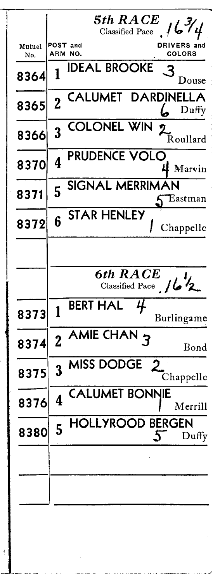|               | $\boldsymbol{5}$ th $\boldsymbol{R}\boldsymbol{A}\boldsymbol{C}\boldsymbol{E}$<br>Classified Pace $/6\frac{7}{4}$ |
|---------------|-------------------------------------------------------------------------------------------------------------------|
| Mutuel<br>No. | POST and<br><b>DRIVERS</b> and<br>ARM NO.<br>COLORS                                                               |
| 8364          | <b>IDEAL BROOKE</b><br>1<br>Jouse                                                                                 |
| 8365          | DARDINELLA<br><b>CALUMET</b><br>$\overline{2}$<br>Duffy                                                           |
| 8366          | <b>COLONEL WIN</b><br>$\overline{3}$<br>Roullard                                                                  |
| 8370          | PRUDENCE VOLO<br>4 Marvin                                                                                         |
| 8371          | SIGNAL MERRIMAN<br>5<br>Eastman                                                                                   |
| 8372          | <b>STAR HENLEY</b><br>Chappelle                                                                                   |
|               |                                                                                                                   |
|               | 6th RACE<br>Classified Pace /62                                                                                   |
| 8373          | <b>BERT HAL</b><br>4<br>1<br>Burlingame                                                                           |
| 8374          | 2 AMIE CHAN 3<br>Bond                                                                                             |
| 8375          | <b>MISS DODGE</b><br>2 <sub>1</sub><br>3<br>Chappelle                                                             |
| 8376          | <b>CALUMET BONNIE</b><br>4<br>Merrill                                                                             |
| 8380          | <b>HOLLYROOD BERGEN</b><br>$5\overline{)}$<br>$\mathcal{L}$<br>Duffy                                              |
|               |                                                                                                                   |
|               |                                                                                                                   |
|               |                                                                                                                   |

 $\frac{4}{3}$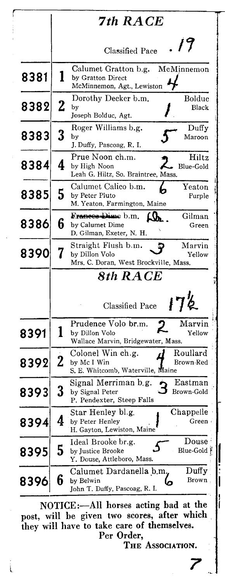|      |             | 7th RACE                                                                                                 |
|------|-------------|----------------------------------------------------------------------------------------------------------|
|      |             | . 19<br>Classified Pace                                                                                  |
| 8381 | 1           | Calumet Gratton b.g.<br>McMinnemon<br>by Gratton Direct<br>McMinnemon, Agt., Lewiston                    |
| 8382 | $\mathbf 2$ | Dorothy Decker b.m.<br>Boldue<br>Black<br>by<br>Joseph Bolduc, Agt.                                      |
| 8383 | 3           | Roger Williams b.g.<br>Duffy<br>by<br>Maroon<br>J. Duffy, Pascoag, R. I.                                 |
| 8384 | 4           | Prue Noon ch.m.<br>Hiltz<br>by High Noon<br>Blue-Gold<br>Leah G. Hiltz, So. Braintree, Mass.             |
| 8385 | 5           | Calumet Calico b.m.<br>Yeaton<br>by Peter Pluto<br>Purple<br>M. Yeaton, Farmington, Maine                |
| 8386 | 6           | Frances Dime b.m.<br>Gilman<br>$Q_{h}$ .<br>by Calumet Dime<br>Green<br>D. Gilman, Exeter, N. H.         |
| 8390 | 7           | Straight Flush b.m.<br>Marvin<br>by Dillon Volo<br>Yellow<br>Mrs. C. Doran, West Brockville, Mass.       |
|      | 8th RACE    |                                                                                                          |
|      |             | 172<br><b>Classified Pace</b>                                                                            |
| 8391 | 1           | Marvin<br>Prudence Volo br.m.<br>2<br>by Dillon Volo<br>Yellow<br>Wallace Marvin, Bridgewater, Mass.     |
| 8392 | 2           | Roullard<br>Colonel Win ch.g.<br>by Mc I Win<br>Brown-Red<br>S. E. Whitcomb, Waterville, Maine           |
| 8393 | 3           | Signal Merriman b.g.<br>Eastman<br>Brown-Gold<br>by Signal Peter<br>P. Pendexter, Steep Falls            |
| 8394 | 4           | Chappelle<br>Star Henley bl.g.<br>by Peter Henley<br>Green<br>H. Gayton, Lewiston, Maine                 |
| 8395 | 5           | Douse<br>Ideal Brooke br.g.<br>Blue-Gold <sup>F</sup><br>by Justice Brooke<br>Y. Douse, Attleboro, Mass. |
| 8396 | 6           | $_{\rm Duffy}$<br>Calumet Dardanella b.m.<br>Brown<br>by Belwin<br>John T. Duffy, Pascoag, R. I.         |

٢

NOTICE:—All horses acting bad at the post, will be given two scores, after which they will have to take care of themselves. Per Order,

THE ASSOCIATION.

|<br>|<br>|